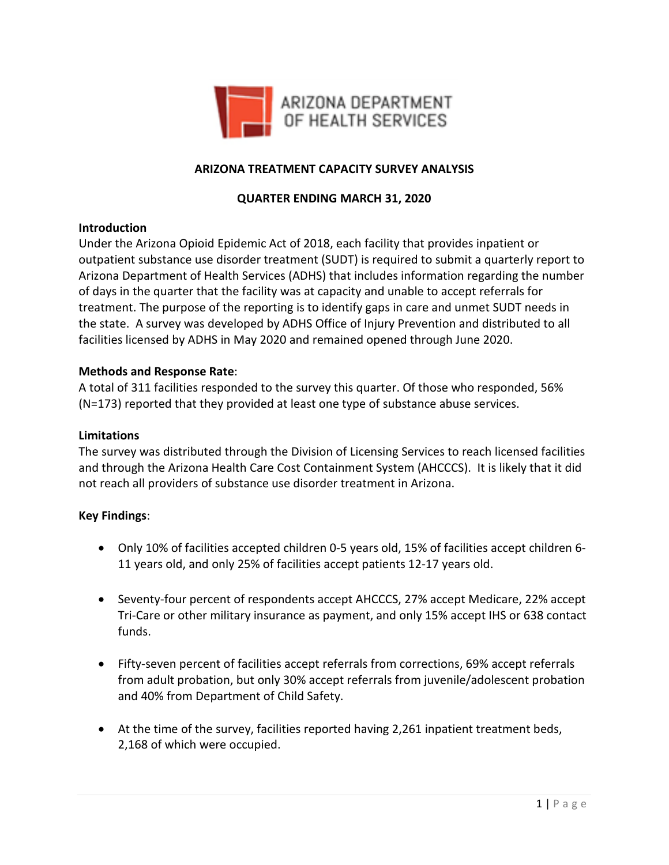

### **ARIZONA TREATMENT CAPACITY SURVEY ANALYSIS**

#### **QUARTER ENDING MARCH 31, 2020**

#### **Introduction**

Under the Arizona Opioid Epidemic Act of 2018, each facility that provides inpatient or outpatient substance use disorder treatment (SUDT) is required to submit a quarterly report to Arizona Department of Health Services (ADHS) that includes information regarding the number of days in the quarter that the facility was at capacity and unable to accept referrals for treatment. The purpose of the reporting is to identify gaps in care and unmet SUDT needs in the state. A survey was developed by ADHS Office of Injury Prevention and distributed to all facilities licensed by ADHS in May 2020 and remained opened through June 2020.

#### **Methods and Response Rate**:

A total of 311 facilities responded to the survey this quarter. Of those who responded, 56% (N=173) reported that they provided at least one type of substance abuse services.

#### **Limitations**

The survey was distributed through the Division of Licensing Services to reach licensed facilities and through the Arizona Health Care Cost Containment System (AHCCCS). It is likely that it did not reach all providers of substance use disorder treatment in Arizona.

#### **Key Findings**:

- Only 10% of facilities accepted children 0-5 years old, 15% of facilities accept children 6- 11 years old, and only 25% of facilities accept patients 12-17 years old.
- Seventy-four percent of respondents accept AHCCCS, 27% accept Medicare, 22% accept Tri-Care or other military insurance as payment, and only 15% accept IHS or 638 contact funds.
- Fifty-seven percent of facilities accept referrals from corrections, 69% accept referrals from adult probation, but only 30% accept referrals from juvenile/adolescent probation and 40% from Department of Child Safety.
- At the time of the survey, facilities reported having 2,261 inpatient treatment beds, 2,168 of which were occupied.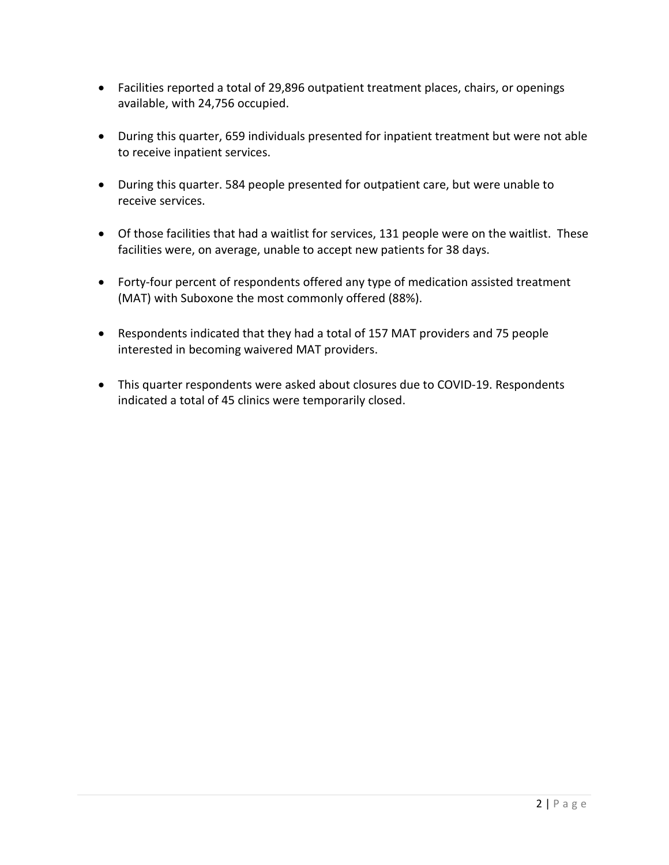- Facilities reported a total of 29,896 outpatient treatment places, chairs, or openings available, with 24,756 occupied.
- During this quarter, 659 individuals presented for inpatient treatment but were not able to receive inpatient services.
- During this quarter. 584 people presented for outpatient care, but were unable to receive services.
- Of those facilities that had a waitlist for services, 131 people were on the waitlist. These facilities were, on average, unable to accept new patients for 38 days.
- Forty-four percent of respondents offered any type of medication assisted treatment (MAT) with Suboxone the most commonly offered (88%).
- Respondents indicated that they had a total of 157 MAT providers and 75 people interested in becoming waivered MAT providers.
- This quarter respondents were asked about closures due to COVID-19. Respondents indicated a total of 45 clinics were temporarily closed.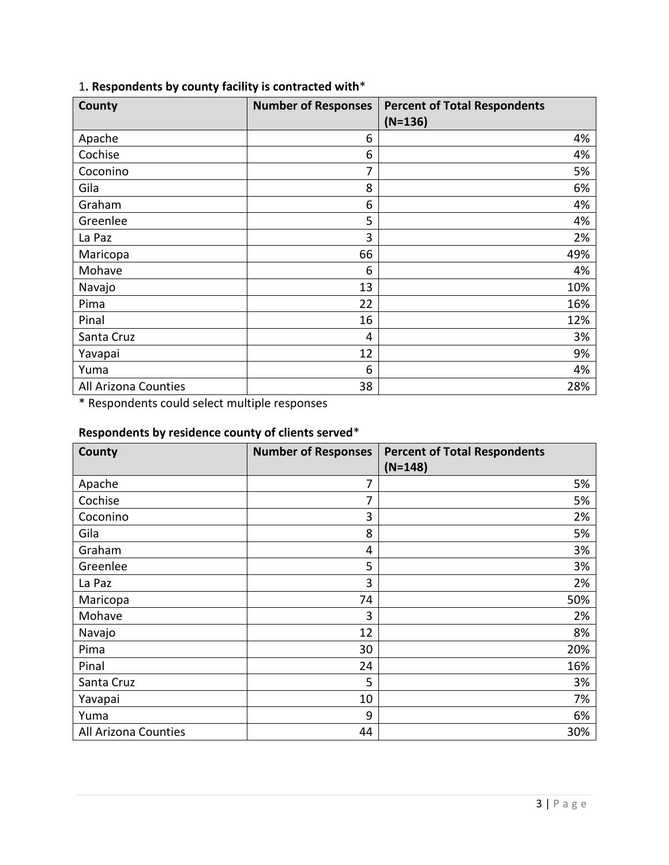| County               | <b>Number of Responses</b> | <b>Percent of Total Respondents</b><br>$(N=136)$ |
|----------------------|----------------------------|--------------------------------------------------|
| Apache               | 6                          | 4%                                               |
| Cochise              | 6                          | 4%                                               |
| Coconino             | 7                          | 5%                                               |
| Gila                 | 8                          | 6%                                               |
| Graham               | 6                          | 4%                                               |
| Greenlee             | 5                          | 4%                                               |
| La Paz               | 3                          | 2%                                               |
| Maricopa             | 66                         | 49%                                              |
| Mohave               | 6                          | 4%                                               |
| Navajo               | 13                         | 10%                                              |
| Pima                 | 22                         | 16%                                              |
| Pinal                | 16                         | 12%                                              |
| Santa Cruz           | 4                          | 3%                                               |
| Yavapai              | 12                         | 9%                                               |
| Yuma                 | 6                          | 4%                                               |
| All Arizona Counties | 38                         | 28%                                              |

# 1**. Respondents by county facility is contracted with**\*

\* Respondents could select multiple responses

### **Respondents by residence county of clients served**\*

| County               | <b>Number of Responses</b> | <b>Percent of Total Respondents</b><br>$(N=148)$ |
|----------------------|----------------------------|--------------------------------------------------|
| Apache               | 7                          | 5%                                               |
| Cochise              | 7                          | 5%                                               |
| Coconino             | 3                          | 2%                                               |
| Gila                 | 8                          | 5%                                               |
| Graham               | 4                          | 3%                                               |
| Greenlee             | 5                          | 3%                                               |
| La Paz               | 3                          | 2%                                               |
| Maricopa             | 74                         | 50%                                              |
| Mohave               | 3                          | 2%                                               |
| Navajo               | 12                         | 8%                                               |
| Pima                 | 30                         | 20%                                              |
| Pinal                | 24                         | 16%                                              |
| Santa Cruz           | 5                          | 3%                                               |
| Yavapai              | 10                         | 7%                                               |
| Yuma                 | 9                          | 6%                                               |
| All Arizona Counties | 44                         | 30%                                              |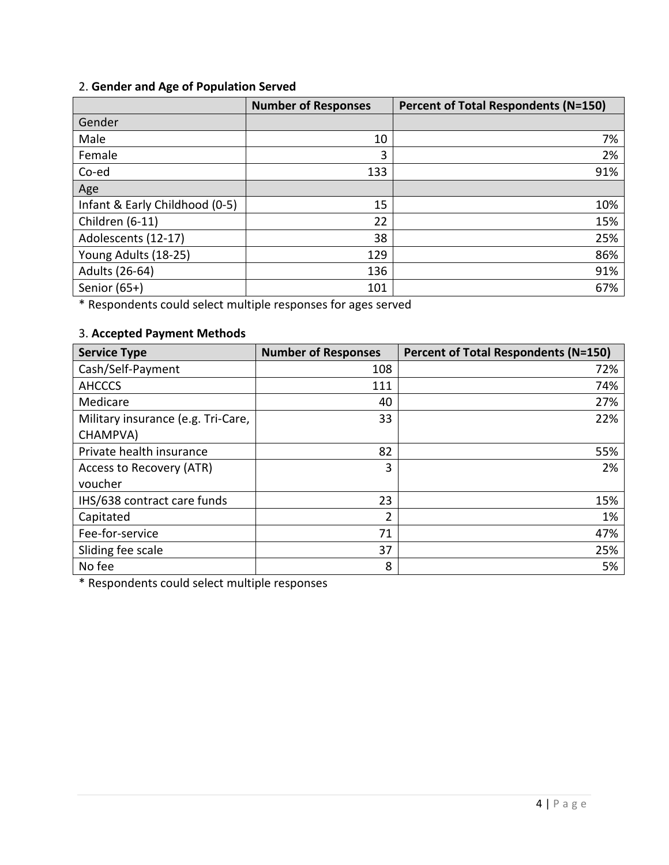# 2. **Gender and Age of Population Served**

|                                | <b>Number of Responses</b> | <b>Percent of Total Respondents (N=150)</b> |
|--------------------------------|----------------------------|---------------------------------------------|
| Gender                         |                            |                                             |
| Male                           | 10                         | 7%                                          |
| Female                         | 3                          | 2%                                          |
| Co-ed                          | 133                        | 91%                                         |
| Age                            |                            |                                             |
| Infant & Early Childhood (0-5) | 15                         | 10%                                         |
| Children (6-11)                | 22                         | 15%                                         |
| Adolescents (12-17)            | 38                         | 25%                                         |
| Young Adults (18-25)           | 129                        | 86%                                         |
| Adults (26-64)                 | 136                        | 91%                                         |
| Senior (65+)                   | 101                        | 67%                                         |

\* Respondents could select multiple responses for ages served

# 3. **Accepted Payment Methods**

| <b>Service Type</b>                | <b>Number of Responses</b> | <b>Percent of Total Respondents (N=150)</b> |
|------------------------------------|----------------------------|---------------------------------------------|
| Cash/Self-Payment                  | 108                        | 72%                                         |
| <b>AHCCCS</b>                      | 111                        | 74%                                         |
| Medicare                           | 40                         | 27%                                         |
| Military insurance (e.g. Tri-Care, | 33                         | 22%                                         |
| CHAMPVA)                           |                            |                                             |
| Private health insurance           | 82                         | 55%                                         |
| Access to Recovery (ATR)           | 3                          | 2%                                          |
| voucher                            |                            |                                             |
| IHS/638 contract care funds        | 23                         | 15%                                         |
| Capitated                          | 2                          | 1%                                          |
| Fee-for-service                    | 71                         | 47%                                         |
| Sliding fee scale                  | 37                         | 25%                                         |
| No fee                             | 8                          | 5%                                          |

\* Respondents could select multiple responses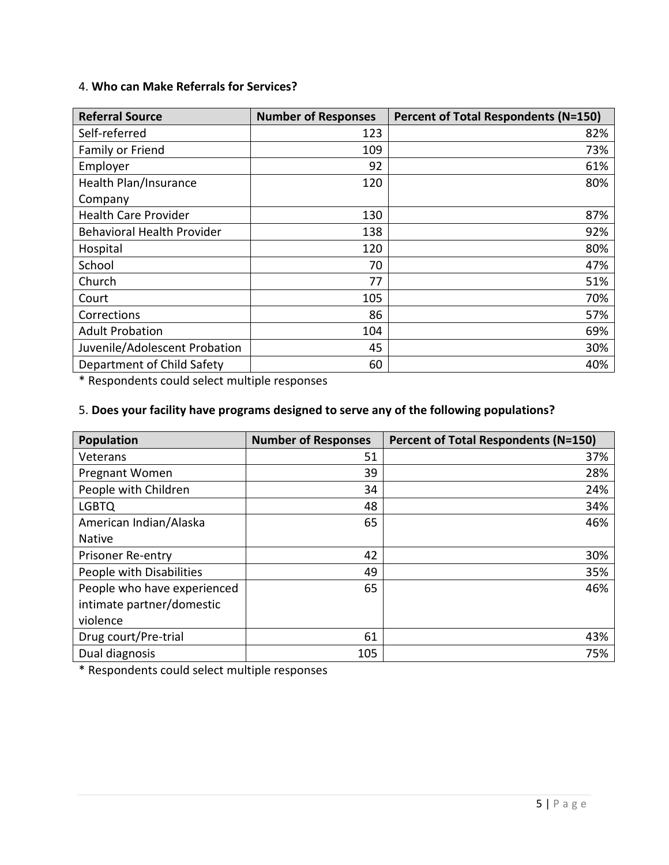# 4. **Who can Make Referrals for Services?**

| <b>Referral Source</b>        | <b>Number of Responses</b> | <b>Percent of Total Respondents (N=150)</b> |
|-------------------------------|----------------------------|---------------------------------------------|
| Self-referred                 | 123                        | 82%                                         |
| Family or Friend              | 109                        | 73%                                         |
| Employer                      | 92                         | 61%                                         |
| Health Plan/Insurance         | 120                        | 80%                                         |
| Company                       |                            |                                             |
| <b>Health Care Provider</b>   | 130                        | 87%                                         |
| Behavioral Health Provider    | 138                        | 92%                                         |
| Hospital                      | 120                        | 80%                                         |
| School                        | 70                         | 47%                                         |
| Church                        | 77                         | 51%                                         |
| Court                         | 105                        | 70%                                         |
| Corrections                   | 86                         | 57%                                         |
| <b>Adult Probation</b>        | 104                        | 69%                                         |
| Juvenile/Adolescent Probation | 45                         | 30%                                         |
| Department of Child Safety    | 60                         | 40%                                         |

\* Respondents could select multiple responses

# 5. **Does your facility have programs designed to serve any of the following populations?**

| <b>Population</b>           | <b>Number of Responses</b> | <b>Percent of Total Respondents (N=150)</b> |
|-----------------------------|----------------------------|---------------------------------------------|
| Veterans                    | 51                         | 37%                                         |
| Pregnant Women              | 39                         | 28%                                         |
| People with Children        | 34                         | 24%                                         |
| <b>LGBTQ</b>                | 48                         | 34%                                         |
| American Indian/Alaska      | 65                         | 46%                                         |
| <b>Native</b>               |                            |                                             |
| Prisoner Re-entry           | 42                         | 30%                                         |
| People with Disabilities    | 49                         | 35%                                         |
| People who have experienced | 65                         | 46%                                         |
| intimate partner/domestic   |                            |                                             |
| violence                    |                            |                                             |
| Drug court/Pre-trial        | 61                         | 43%                                         |
| Dual diagnosis              | 105                        | 75%                                         |

\* Respondents could select multiple responses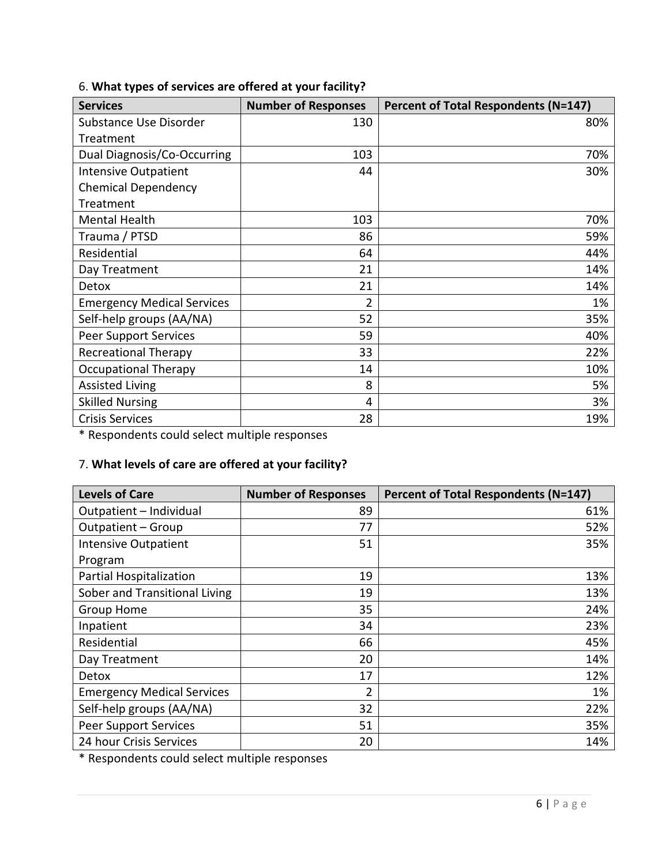| <b>Services</b>                   | <b>Number of Responses</b> | <b>Percent of Total Respondents (N=147)</b> |
|-----------------------------------|----------------------------|---------------------------------------------|
| Substance Use Disorder            | 130                        | 80%                                         |
| Treatment                         |                            |                                             |
| Dual Diagnosis/Co-Occurring       | 103                        | 70%                                         |
| <b>Intensive Outpatient</b>       | 44                         | 30%                                         |
| <b>Chemical Dependency</b>        |                            |                                             |
| Treatment                         |                            |                                             |
| <b>Mental Health</b>              | 103                        | 70%                                         |
| Trauma / PTSD                     | 86                         | 59%                                         |
| Residential                       | 64                         | 44%                                         |
| Day Treatment                     | 21                         | 14%                                         |
| Detox                             | 21                         | 14%                                         |
| <b>Emergency Medical Services</b> | 2                          | 1%                                          |
| Self-help groups (AA/NA)          | 52                         | 35%                                         |
| <b>Peer Support Services</b>      | 59                         | 40%                                         |
| <b>Recreational Therapy</b>       | 33                         | 22%                                         |
| <b>Occupational Therapy</b>       | 14                         | 10%                                         |
| <b>Assisted Living</b>            | 8                          | 5%                                          |
| <b>Skilled Nursing</b>            | 4                          | 3%                                          |
| <b>Crisis Services</b>            | 28                         | 19%                                         |

# 6. **What types of services are offered at your facility?**

\* Respondents could select multiple responses

# 7. **What levels of care are offered at your facility?**

| <b>Levels of Care</b>             | <b>Number of Responses</b> | <b>Percent of Total Respondents (N=147)</b> |
|-----------------------------------|----------------------------|---------------------------------------------|
| Outpatient - Individual           | 89                         | 61%                                         |
| Outpatient - Group                | 77                         | 52%                                         |
| <b>Intensive Outpatient</b>       | 51                         | 35%                                         |
| Program                           |                            |                                             |
| Partial Hospitalization           | 19                         | 13%                                         |
| Sober and Transitional Living     | 19                         | 13%                                         |
| Group Home                        | 35                         | 24%                                         |
| Inpatient                         | 34                         | 23%                                         |
| Residential                       | 66                         | 45%                                         |
| Day Treatment                     | 20                         | 14%                                         |
| Detox                             | 17                         | 12%                                         |
| <b>Emergency Medical Services</b> | 2                          | 1%                                          |
| Self-help groups (AA/NA)          | 32                         | 22%                                         |
| <b>Peer Support Services</b>      | 51                         | 35%                                         |
| 24 hour Crisis Services           | 20                         | 14%                                         |

\* Respondents could select multiple responses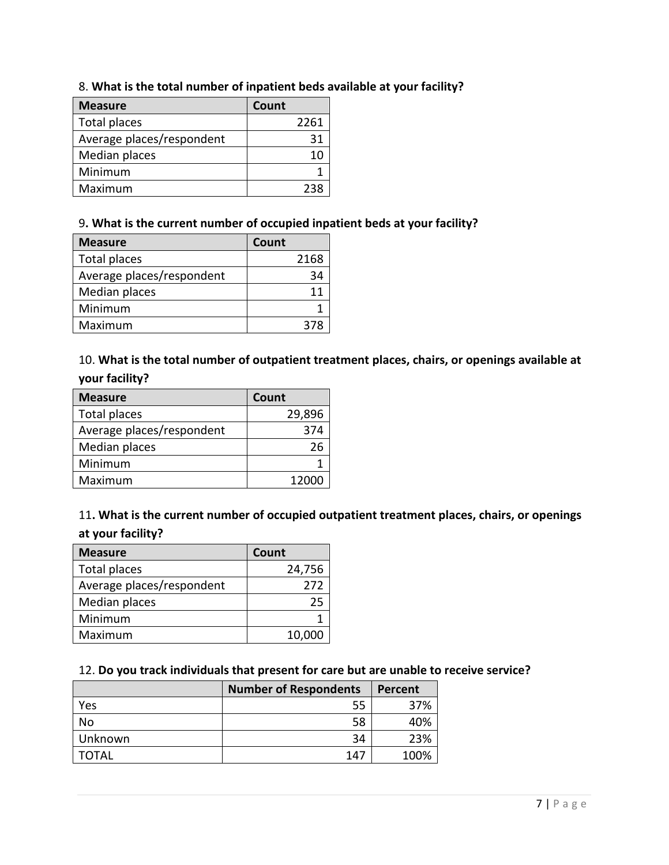| <b>Measure</b>            | Count |
|---------------------------|-------|
| Total places              | 2261  |
| Average places/respondent | 31    |
| Median places             | 10    |
| Minimum                   |       |
| Maximum                   | つつ又   |

### 8. **What is the total number of inpatient beds available at your facility?**

### 9**. What is the current number of occupied inpatient beds at your facility?**

| <b>Measure</b>            | Count |
|---------------------------|-------|
| Total places              | 2168  |
| Average places/respondent | 34    |
| Median places             |       |
| Minimum                   |       |
| Maximum                   | 278   |

10. **What is the total number of outpatient treatment places, chairs, or openings available at your facility?**

| <b>Measure</b>            | Count  |
|---------------------------|--------|
| Total places              | 29,896 |
| Average places/respondent | 374    |
| Median places             | 26     |
| Minimum                   |        |
| Maximum                   | 12000  |

11**. What is the current number of occupied outpatient treatment places, chairs, or openings at your facility?**

| <b>Measure</b>            | Count  |
|---------------------------|--------|
| Total places              | 24,756 |
| Average places/respondent | 272    |
| Median places             | 25     |
| Minimum                   |        |
| Maximum                   | 10,000 |

### 12. **Do you track individuals that present for care but are unable to receive service?**

|              | <b>Number of Respondents</b> | Percent |
|--------------|------------------------------|---------|
| Yes          | 55                           | 37%     |
| <b>No</b>    | 58                           | 40%     |
| Unknown      | 34                           | 23%     |
| <b>TOTAL</b> | 147                          | 100%    |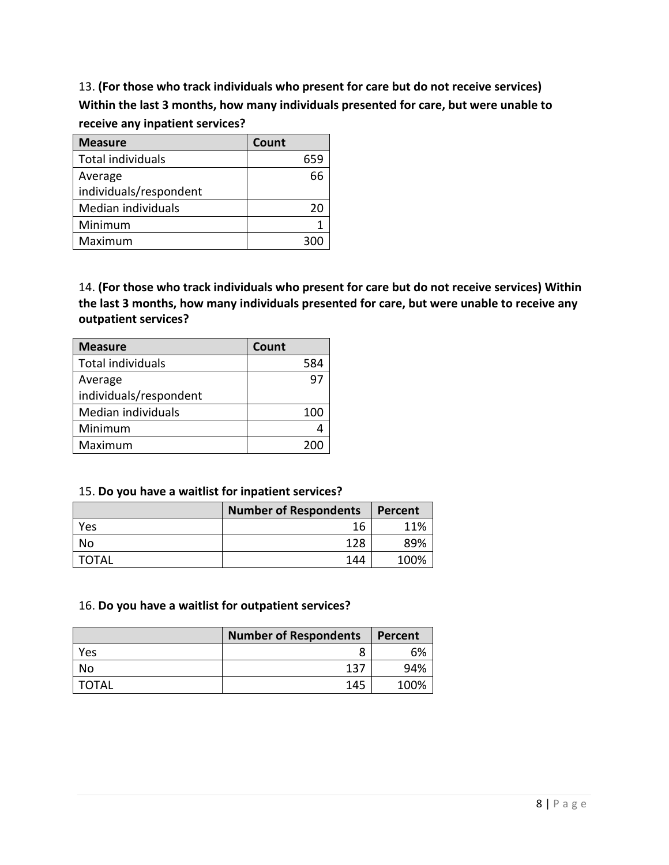13. **(For those who track individuals who present for care but do not receive services) Within the last 3 months, how many individuals presented for care, but were unable to receive any inpatient services?** 

| <b>Measure</b>           | Count |
|--------------------------|-------|
| <b>Total individuals</b> |       |
| Average                  | 66    |
| individuals/respondent   |       |
| Median individuals       | 20    |
| Minimum                  |       |
| Maximum                  |       |

14. **(For those who track individuals who present for care but do not receive services) Within the last 3 months, how many individuals presented for care, but were unable to receive any outpatient services?** 

| <b>Measure</b>           | Count |
|--------------------------|-------|
| <b>Total individuals</b> | 584   |
| Average                  | 97    |
| individuals/respondent   |       |
| Median individuals       | 100   |
| Minimum                  |       |
| Maximum                  |       |

#### 15. **Do you have a waitlist for inpatient services?**

|              | <b>Number of Respondents</b> | Percent |
|--------------|------------------------------|---------|
| Yes          | 16                           | 11%     |
| No           | 128                          | 89%     |
| <b>TOTAL</b> | 144                          | 100%    |

#### 16. **Do you have a waitlist for outpatient services?**

|              | <b>Number of Respondents</b> | Percent |
|--------------|------------------------------|---------|
| Yes          |                              | 6%      |
| No           | 137                          | 94%     |
| <b>TOTAL</b> | 145                          | 100%    |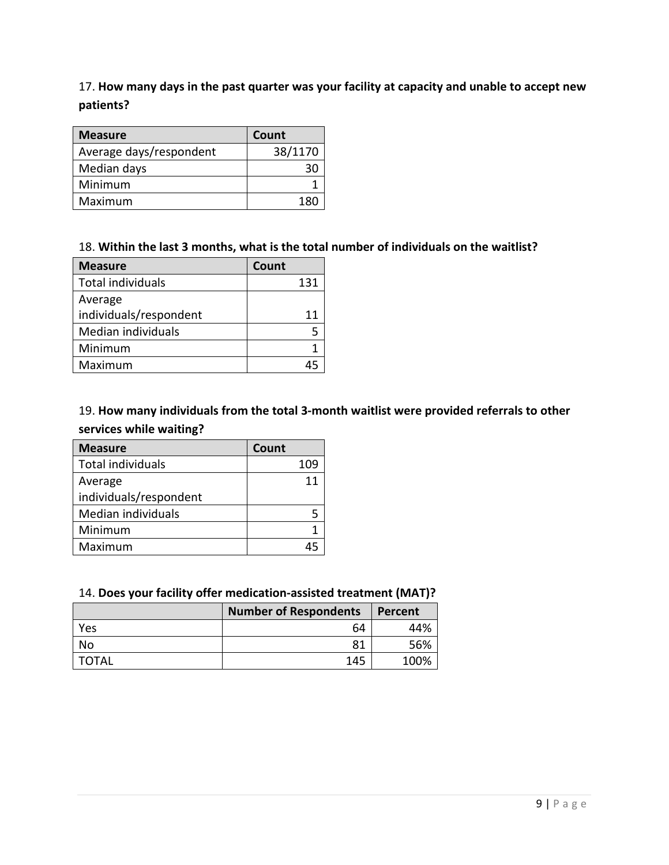17. **How many days in the past quarter was your facility at capacity and unable to accept new patients?**

| <b>Measure</b>          | Count   |
|-------------------------|---------|
| Average days/respondent | 38/1170 |
| Median days             | 30      |
| Minimum                 |         |
| Maximum                 | 180     |

### 18. **Within the last 3 months, what is the total number of individuals on the waitlist?**

| <b>Measure</b>         | Count |
|------------------------|-------|
| Total individuals      | 131   |
| Average                |       |
| individuals/respondent | 11    |
| Median individuals     |       |
| Minimum                |       |
| Maximum                |       |

# 19. **How many individuals from the total 3-month waitlist were provided referrals to other services while waiting?**

| <b>Measure</b>           | Count |
|--------------------------|-------|
| <b>Total individuals</b> | 109   |
| Average                  | 11    |
| individuals/respondent   |       |
| Median individuals       |       |
| Minimum                  |       |
| Maximum                  |       |

### 14. **Does your facility offer medication-assisted treatment (MAT)?**

|              | <b>Number of Respondents</b> | Percent |
|--------------|------------------------------|---------|
| Yes          | 64                           | 44%     |
| No           | 81                           | 56%     |
| <b>TOTAL</b> | 145                          | 100%    |